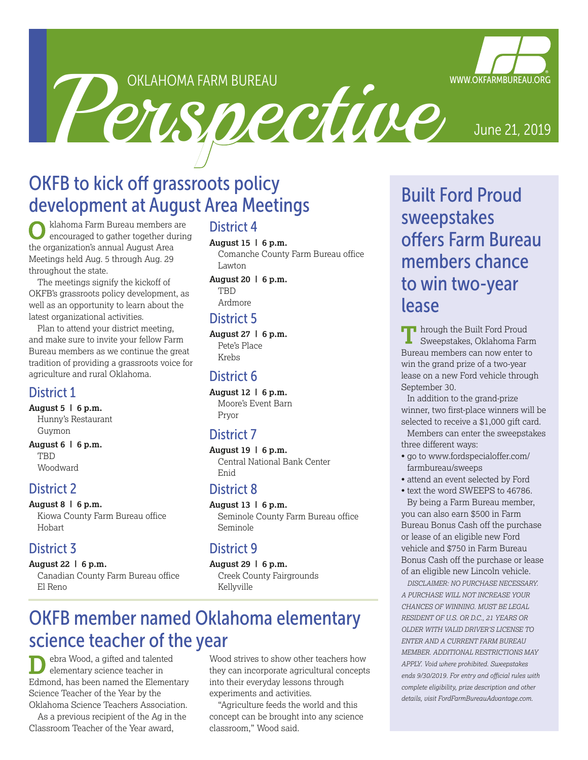OKLAHOMA FARM BUREAU

OKLAHOMA FARM BUREAU.<br>
Perspective June 21, 2019

# OKFB to kick off grassroots policy development at August Area Meetings

klahoma Farm Bureau members are encouraged to gather together during the organization's annual August Area Meetings held Aug. 5 through Aug. 29 throughout the state.

The meetings signify the kickoff of OKFB's grassroots policy development, as well as an opportunity to learn about the latest organizational activities.

Plan to attend your district meeting, and make sure to invite your fellow Farm Bureau members as we continue the great tradition of providing a grassroots voice for agriculture and rural Oklahoma.

#### District 1

**August 5 | 6 p.m.** Hunny's Restaurant Guymon

**August 6 | 6 p.m.** TBD Woodward

#### District 2

**August 8 | 6 p.m.** Kiowa County Farm Bureau office Hobart

# District 3

**August 22 | 6 p.m.** Canadian County Farm Bureau office El Reno

# District 4

**August 15 | 6 p.m.**

Comanche County Farm Bureau office Lawton

**August 20 | 6 p.m.** TBD Ardmore

#### District 5

**August 27 | 6 p.m.** Pete's Place Krebs

#### District 6

**August 12 | 6 p.m.** Moore's Event Barn Pryor

# District 7

**August 19 | 6 p.m.** Central National Bank Center Enid

#### District 8

**August 13 | 6 p.m.** Seminole County Farm Bureau office Seminole

#### District 9

**August 29 | 6 p.m.** Creek County Fairgrounds Kellyville

# OKFB member named Oklahoma elementary science teacher of the year

ebra Wood, a gifted and talented elementary science teacher in Edmond, has been named the Elementary Science Teacher of the Year by the Oklahoma Science Teachers Association.

As a previous recipient of the Ag in the Classroom Teacher of the Year award,

Wood strives to show other teachers how they can incorporate agricultural concepts into their everyday lessons through experiments and activities.

"Agriculture feeds the world and this concept can be brought into any science classroom," Wood said.

Built Ford Proud sweepstakes offers Farm Bureau members chance to win two-year lease

**TH** hrough the Built Ford Proud Sweepstakes, Oklahoma Farm Bureau members can now enter to win the grand prize of a two-year lease on a new Ford vehicle through September 30.

In addition to the grand-prize winner, two first-place winners will be selected to receive a \$1,000 gift card.

Members can enter the sweepstakes three different ways:

- go to www.fordspecialoffer.com/ farmbureau/sweeps
- attend an event selected by Ford
- text the word SWEEPS to 46786.

By being a Farm Bureau member, you can also earn \$500 in Farm Bureau Bonus Cash off the purchase or lease of an eligible new Ford vehicle and \$750 in Farm Bureau Bonus Cash off the purchase or lease of an eligible new Lincoln vehicle.

*DISCLAIMER: NO PURCHASE NECESSARY. A PURCHASE WILL NOT INCREASE YOUR CHANCES OF WINNING. MUST BE LEGAL RESIDENT OF U.S. OR D.C., 21 YEARS OR OLDER WITH VALID DRIVER'S LICENSE TO ENTER AND A CURRENT FARM BUREAU MEMBER. ADDITIONAL RESTRICTIONS MAY APPLY. Void where prohibited. Sweepstakes ends 9/30/2019. For entry and official rules with complete eligibility, prize description and other details, visit FordFarmBureauAdvantage.com.*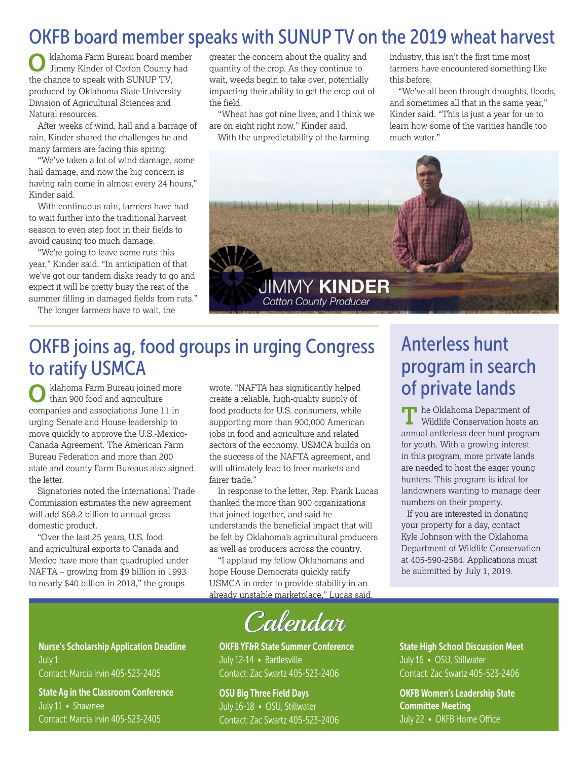# OKFB board member speaks with SUNUP TV on the 2019 wheat harvest

klahoma Farm Bureau board member Jimmy Kinder of Cotton County had the chance to speak with SUNUP TV, produced by Oklahoma State University Division of Agricultural Sciences and Natural resources.

After weeks of wind, hail and a barrage of rain, Kinder shared the challenges he and many farmers are facing this spring.

"We've taken a lot of wind damage, some hail damage, and now the big concern is having rain come in almost every 24 hours," Kinder said.

With continuous rain, farmers have had to wait further into the traditional harvest season to even step foot in their fields to avoid causing too much damage.

"We're going to leave some ruts this year," Kinder said. "In anticipation of that we've got our tandem disks ready to go and expect it will be pretty busy the rest of the summer filling in damaged fields from ruts."

The longer farmers have to wait, the

greater the concern about the quality and quantity of the crop. As they continue to wait, weeds begin to take over, potentially impacting their ability to get the crop out of the field.

"Wheat has got nine lives, and I think we are on eight right now," Kinder said.

With the unpredictability of the farming

industry, this isn't the first time most farmers have encountered something like this before.

"We've all been through droughts, floods, and sometimes all that in the same year," Kinder said. "This is just a year for us to learn how some of the varities handle too much water."



# OKFB joins ag, food groups in urging Congress to ratify USMCA

klahoma Farm Bureau joined more than 900 food and agriculture companies and associations June 11 in urging Senate and House leadership to move quickly to approve the U.S.-Mexico-Canada Agreement. The American Farm Bureau Federation and more than 200 state and county Farm Bureaus also signed the letter.

Signatories noted the International Trade Commission estimates the new agreement will add \$68.2 billion to annual gross domestic product.

"Over the last 25 years, U.S. food and agricultural exports to Canada and Mexico have more than quadrupled under NAFTA – growing from \$9 billion in 1993 to nearly \$40 billion in 2018," the groups

wrote. "NAFTA has significantly helped create a reliable, high-quality supply of food products for U.S. consumers, while supporting more than 900,000 American jobs in food and agriculture and related sectors of the economy. USMCA builds on the success of the NAFTA agreement, and will ultimately lead to freer markets and fairer trade."

In response to the letter, Rep. Frank Lucas thanked the more than 900 organizations that joined together, and said he understands the beneficial impact that will be felt by Oklahoma's agricultural producers as well as producers across the country.

"I applaud my fellow Oklahomans and hope House Democrats quickly ratify USMCA in order to provide stability in an already unstable marketplace," Lucas said.



OKFB YF&R State Summer Conference July 12-14 • Bartlesville Contact: Zac Swartz 405-523-2406

OSU Big Three Field Days July 16-18 • OSU, Stillwater Contact: Zac Swartz 405-523-2406

# Anterless hunt program in search of private lands

**he Oklahoma Department of** Wildlife Conservation hosts an annual antlerless deer hunt program for youth. With a growing interest in this program, more private lands are needed to host the eager young hunters. This program is ideal for landowners wanting to manage deer numbers on their property.

If you are interested in donating your property for a day, contact Kyle Johnson with the Oklahoma Department of Wildlife Conservation at 405-590-2584. Applications must be submitted by July 1, 2019.

State High School Discussion Meet July 16 • OSU, Stillwater Contact: Zac Swartz 405-523-2406

OKFB Women's Leadership State Committee Meeting July 22 • OKFB Home Office

Nurse's Scholarship Application Deadline July 1 Contact: Marcia Irvin 405-523-2405

State Ag in the Classroom Conference July 11 • Shawnee Contact: Marcia Irvin 405-523-2405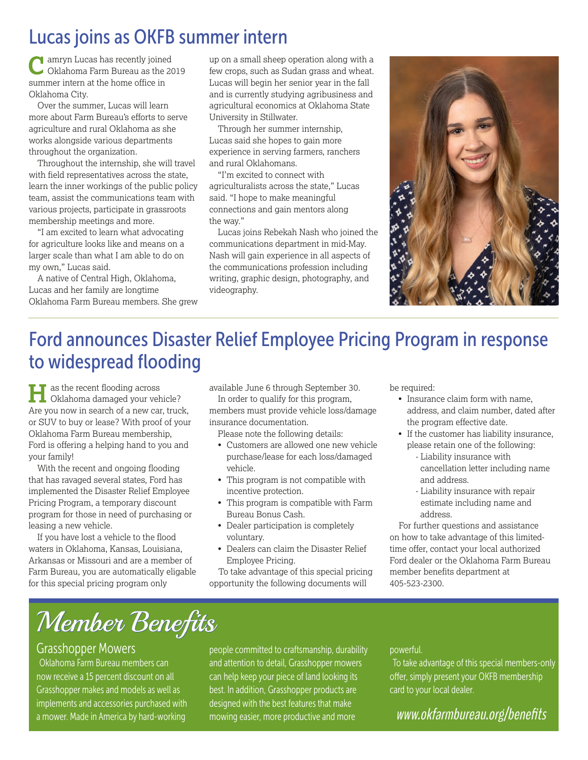# Lucas joins as OKFB summer intern

amryn Lucas has recently joined Oklahoma Farm Bureau as the 2019 summer intern at the home office in Oklahoma City.

Over the summer, Lucas will learn more about Farm Bureau's efforts to serve agriculture and rural Oklahoma as she works alongside various departments throughout the organization.

Throughout the internship, she will travel with field representatives across the state, learn the inner workings of the public policy team, assist the communications team with various projects, participate in grassroots membership meetings and more.

"I am excited to learn what advocating for agriculture looks like and means on a larger scale than what I am able to do on my own," Lucas said.

A native of Central High, Oklahoma, Lucas and her family are longtime Oklahoma Farm Bureau members. She grew

up on a small sheep operation along with a few crops, such as Sudan grass and wheat. Lucas will begin her senior year in the fall and is currently studying agribusiness and agricultural economics at Oklahoma State University in Stillwater.

Through her summer internship, Lucas said she hopes to gain more experience in serving farmers, ranchers and rural Oklahomans.

"I'm excited to connect with agriculturalists across the state," Lucas said. "I hope to make meaningful connections and gain mentors along the way."

Lucas joins Rebekah Nash who joined the communications department in mid-May. Nash will gain experience in all aspects of the communications profession including writing, graphic design, photography, and videography.



# Ford announces Disaster Relief Employee Pricing Program in response to widespread flooding

as the recent flooding across Oklahoma damaged your vehicle? Are you now in search of a new car, truck, or SUV to buy or lease? With proof of your Oklahoma Farm Bureau membership, Ford is offering a helping hand to you and your family!

With the recent and ongoing flooding that has ravaged several states, Ford has implemented the Disaster Relief Employee Pricing Program, a temporary discount program for those in need of purchasing or leasing a new vehicle.

If you have lost a vehicle to the flood waters in Oklahoma, Kansas, Louisiana, Arkansas or Missouri and are a member of Farm Bureau, you are automatically eligable for this special pricing program only

available June 6 through September 30.

In order to qualify for this program, members must provide vehicle loss/damage insurance documentation.

Please note the following details:

- Customers are allowed one new vehicle purchase/lease for each loss/damaged vehicle.
- This program is not compatible with incentive protection.
- This program is compatible with Farm Bureau Bonus Cash.
- Dealer participation is completely voluntary.
- Dealers can claim the Disaster Relief Employee Pricing.

 To take advantage of this special pricing opportunity the following documents will

be required:

- Insurance claim form with name, address, and claim number, dated after the program effective date.
- If the customer has liability insurance, please retain one of the following:
	- Liability insurance with cancellation letter including name and address.
	- Liability insurance with repair estimate including name and address.

 For further questions and assistance on how to take advantage of this limitedtime offer, contact your local authorized Ford dealer or the Oklahoma Farm Bureau member benefits department at 405-523-2300.

# Member Benefits

#### Grasshopper Mowers

Oklahoma Farm Bureau members can now receive a 15 percent discount on all Grasshopper makes and models as well as implements and accessories purchased with

a mower. Made in America by hard-working ware mowing easier, more productive and more www.okfarmbureau.org/benefits people committed to craftsmanship, durability and attention to detail, Grasshopper mowers can help keep your piece of land looking its best. In addition, Grasshopper products are designed with the best features that make mowing easier, more productive and more

#### powerful.

To take advantage of this special members-only offer, simply present your OKFB membership card to your local dealer.